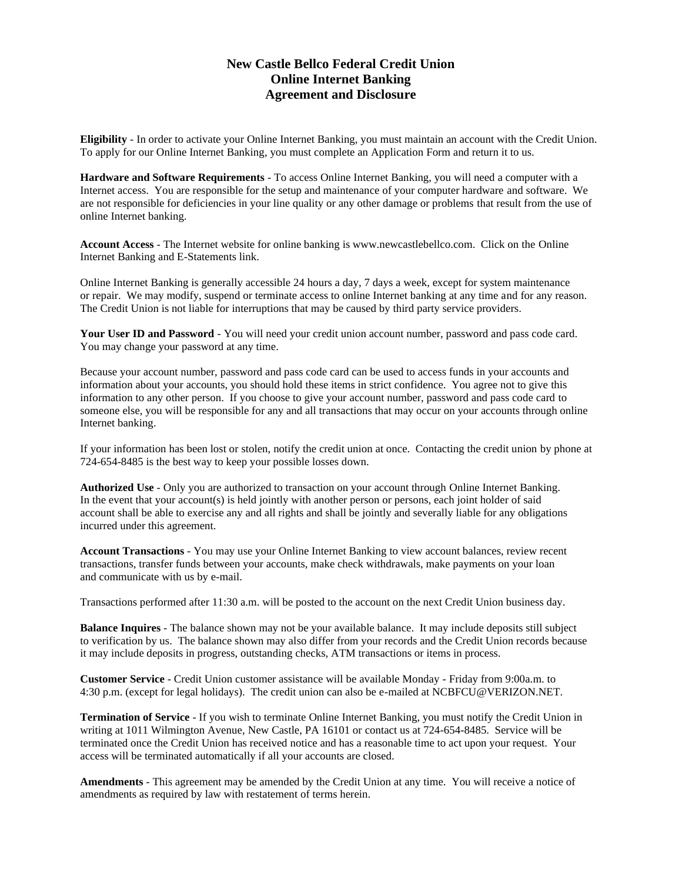## **New Castle Bellco Federal Credit Union Online Internet Banking Agreement and Disclosure**

**Eligibility** - In order to activate your Online Internet Banking, you must maintain an account with the Credit Union. To apply for our Online Internet Banking, you must complete an Application Form and return it to us.

**Hardware and Software Requirements** - To access Online Internet Banking, you will need a computer with a Internet access. You are responsible for the setup and maintenance of your computer hardware and software. We are not responsible for deficiencies in your line quality or any other damage or problems that result from the use of online Internet banking.

**Account Access** - The Internet website for online banking is www.newcastlebellco.com. Click on the Online Internet Banking and E-Statements link.

Online Internet Banking is generally accessible 24 hours a day, 7 days a week, except for system maintenance or repair. We may modify, suspend or terminate access to online Internet banking at any time and for any reason. The Credit Union is not liable for interruptions that may be caused by third party service providers.

**Your User ID and Password** - You will need your credit union account number, password and pass code card. You may change your password at any time.

Because your account number, password and pass code card can be used to access funds in your accounts and information about your accounts, you should hold these items in strict confidence. You agree not to give this information to any other person. If you choose to give your account number, password and pass code card to someone else, you will be responsible for any and all transactions that may occur on your accounts through online Internet banking.

If your information has been lost or stolen, notify the credit union at once. Contacting the credit union by phone at 724-654-8485 is the best way to keep your possible losses down.

**Authorized Use** - Only you are authorized to transaction on your account through Online Internet Banking. In the event that your account(s) is held jointly with another person or persons, each joint holder of said account shall be able to exercise any and all rights and shall be jointly and severally liable for any obligations incurred under this agreement.

**Account Transactions** - You may use your Online Internet Banking to view account balances, review recent transactions, transfer funds between your accounts, make check withdrawals, make payments on your loan and communicate with us by e-mail.

Transactions performed after 11:30 a.m. will be posted to the account on the next Credit Union business day.

**Balance Inquires** - The balance shown may not be your available balance. It may include deposits still subject to verification by us. The balance shown may also differ from your records and the Credit Union records because it may include deposits in progress, outstanding checks, ATM transactions or items in process.

**Customer Service** - Credit Union customer assistance will be available Monday - Friday from 9:00a.m. to 4:30 p.m. (except for legal holidays). The credit union can also be e-mailed at NCBFCU@VERIZON.NET.

**Termination of Service** - If you wish to terminate Online Internet Banking, you must notify the Credit Union in writing at 1011 Wilmington Avenue, New Castle, PA 16101 or contact us at 724-654-8485. Service will be terminated once the Credit Union has received notice and has a reasonable time to act upon your request. Your access will be terminated automatically if all your accounts are closed.

**Amendments** - This agreement may be amended by the Credit Union at any time. You will receive a notice of amendments as required by law with restatement of terms herein.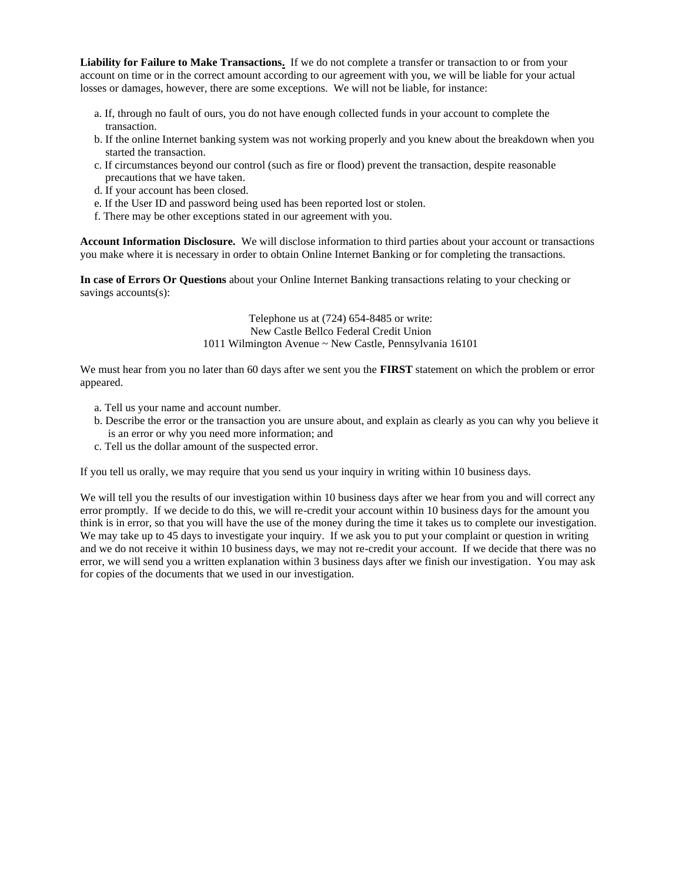**Liability for Failure to Make Transactions.** If we do not complete a transfer or transaction to or from your account on time or in the correct amount according to our agreement with you, we will be liable for your actual losses or damages, however, there are some exceptions. We will not be liable, for instance:

- a. If, through no fault of ours, you do not have enough collected funds in your account to complete the transaction.
- b. If the online Internet banking system was not working properly and you knew about the breakdown when you started the transaction.
- c. If circumstances beyond our control (such as fire or flood) prevent the transaction, despite reasonable precautions that we have taken.
- d. If your account has been closed.
- e. If the User ID and password being used has been reported lost or stolen.
- f. There may be other exceptions stated in our agreement with you.

**Account Information Disclosure.** We will disclose information to third parties about your account or transactions you make where it is necessary in order to obtain Online Internet Banking or for completing the transactions.

**In case of Errors Or Questions** about your Online Internet Banking transactions relating to your checking or savings accounts(s):

> Telephone us at (724) 654-8485 or write: New Castle Bellco Federal Credit Union 1011 Wilmington Avenue ~ New Castle, Pennsylvania 16101

We must hear from you no later than 60 days after we sent you the **FIRST** statement on which the problem or error appeared.

- a. Tell us your name and account number.
- b. Describe the error or the transaction you are unsure about, and explain as clearly as you can why you believe it is an error or why you need more information; and
- c. Tell us the dollar amount of the suspected error.

If you tell us orally, we may require that you send us your inquiry in writing within 10 business days.

We will tell you the results of our investigation within 10 business days after we hear from you and will correct any error promptly. If we decide to do this, we will re-credit your account within 10 business days for the amount you think is in error, so that you will have the use of the money during the time it takes us to complete our investigation. We may take up to 45 days to investigate your inquiry. If we ask you to put your complaint or question in writing and we do not receive it within 10 business days, we may not re-credit your account. If we decide that there was no error, we will send you a written explanation within 3 business days after we finish our investigation. You may ask for copies of the documents that we used in our investigation.